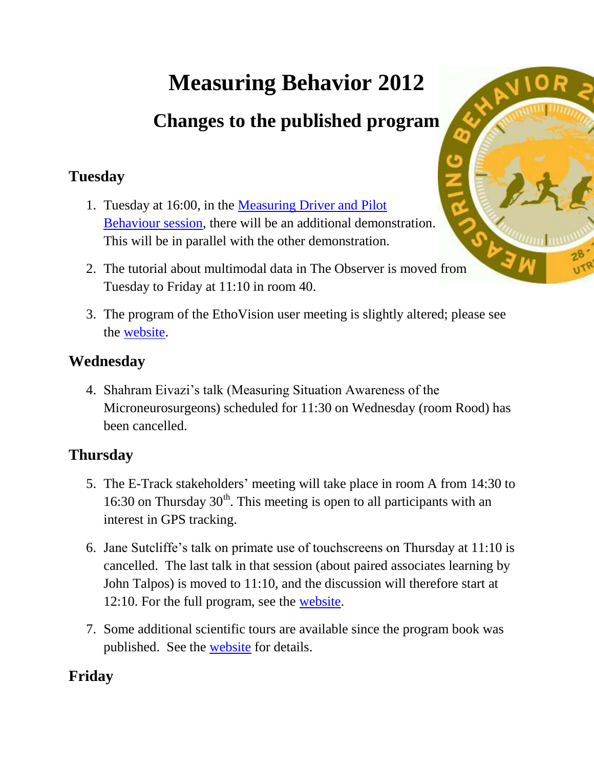# **Measuring Behavior 2012**

## **Changes to the published program**

#### **Tuesday**

- 1. Tuesday at 16:00, in the [Measuring Driver and Pilot](http://www.measuringbehavior.org/mb2012/special-session-measuring-driver-and-pilot-behavior)  [Behaviour session,](http://www.measuringbehavior.org/mb2012/special-session-measuring-driver-and-pilot-behavior) there will be an additional demonstration. This will be in parallel with the other demonstration.
- 2. The tutorial about multimodal data in The Observer is moved from Tuesday to Friday at 11:10 in room 40.
- 3. The program of the EthoVision user meeting is slightly altered; please see the [website.](http://www.measuringbehavior.org/mb2012/ethovision-xt-user-meeting)

#### **Wednesday**

4. Shahram Eivazi's talk (Measuring Situation Awareness of the Microneurosurgeons) scheduled for 11:30 on Wednesday (room Rood) has been cancelled.

#### **Thursday**

- 5. The E-Track stakeholders' meeting will take place in room A from 14:30 to 16:30 on Thursday  $30<sup>th</sup>$ . This meeting is open to all participants with an interest in GPS tracking.
- 6. Jane Sutcliffe's talk on primate use of touchscreens on Thursday at 11:10 is cancelled. The last talk in that session (about paired associates learning by John Talpos) is moved to 11:10, and the discussion will therefore start at 12:10. For the full program, see the [website.](http://www.measuringbehavior.org/mb2012/special-session-development-diverse-battery-behavioral-tasks-using-touchscreen-equipped-opera)
- 7. Some additional scientific tours are available since the program book was published. See the [website](http://www.measuringbehavior.org/mb2012/scientific-tours) for details.

### **Friday**